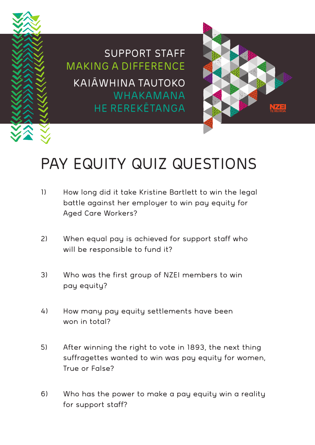

SUPPORT STAFF MAKING A DIFFERENCE KAIĀWHINA TAUTOKO WHAKAMANA HE REREKĒTANGA



## PAY EQUITY QUIZ QUESTIONS

- 1) How long did it take Kristine Bartlett to win the legal battle against her employer to win pay equity for Aged Care Workers?
- 2) When equal pay is achieved for support staff who will be responsible to fund it?
- 3) Who was the first group of NZEI members to win pay equity?
- 4) How many pay equity settlements have been won in total?
- 5) After winning the right to vote in 1893, the next thing suffragettes wanted to win was pay equity for women, True or False?
- 6) Who has the power to make a pay equity win a reality for support staff?